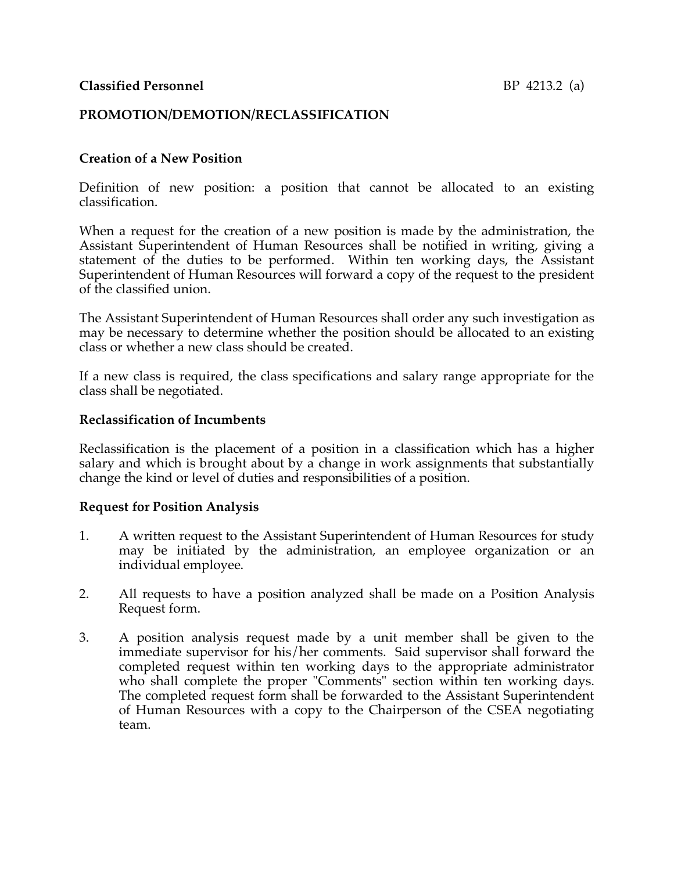## **PROMOTION/DEMOTION/RECLASSIFICATION**

### **Creation of a New Position**

Definition of new position: a position that cannot be allocated to an existing classification.

When a request for the creation of a new position is made by the administration, the Assistant Superintendent of Human Resources shall be notified in writing, giving a statement of the duties to be performed. Within ten working days, the Assistant Superintendent of Human Resources will forward a copy of the request to the president of the classified union.

The Assistant Superintendent of Human Resources shall order any such investigation as may be necessary to determine whether the position should be allocated to an existing class or whether a new class should be created.

If a new class is required, the class specifications and salary range appropriate for the class shall be negotiated.

#### **Reclassification of Incumbents**

Reclassification is the placement of a position in a classification which has a higher salary and which is brought about by a change in work assignments that substantially change the kind or level of duties and responsibilities of a position.

#### **Request for Position Analysis**

- 1. A written request to the Assistant Superintendent of Human Resources for study may be initiated by the administration, an employee organization or an individual employee.
- 2. All requests to have a position analyzed shall be made on a Position Analysis Request form.
- 3. A position analysis request made by a unit member shall be given to the immediate supervisor for his/her comments. Said supervisor shall forward the completed request within ten working days to the appropriate administrator who shall complete the proper "Comments" section within ten working days. The completed request form shall be forwarded to the Assistant Superintendent of Human Resources with a copy to the Chairperson of the CSEA negotiating team.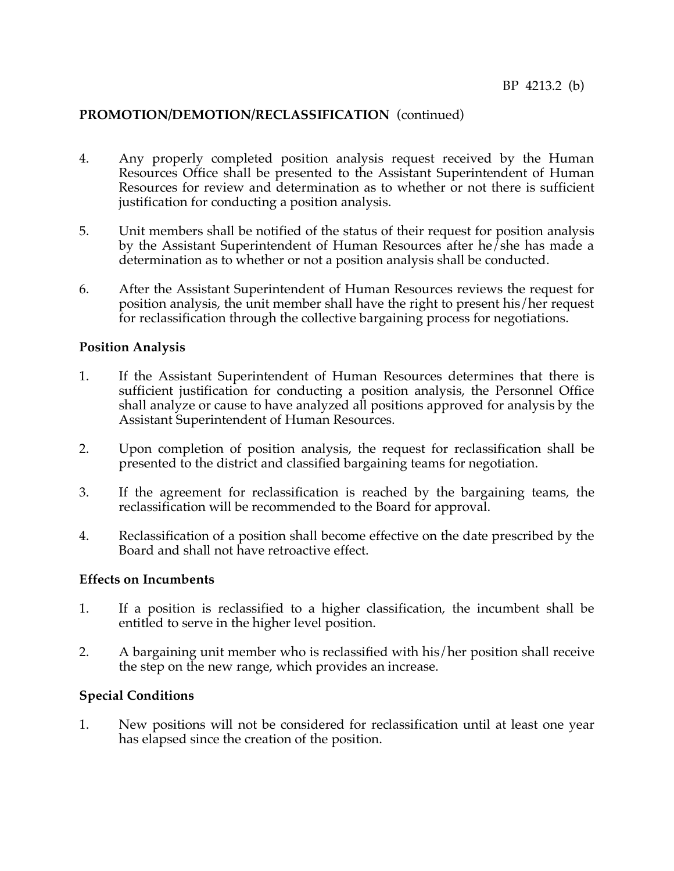## **PROMOTION/DEMOTION/RECLASSIFICATION** (continued)

- 4. Any properly completed position analysis request received by the Human Resources Office shall be presented to the Assistant Superintendent of Human Resources for review and determination as to whether or not there is sufficient justification for conducting a position analysis.
- 5. Unit members shall be notified of the status of their request for position analysis by the Assistant Superintendent of Human Resources after he/she has made a determination as to whether or not a position analysis shall be conducted.
- 6. After the Assistant Superintendent of Human Resources reviews the request for position analysis, the unit member shall have the right to present his/her request for reclassification through the collective bargaining process for negotiations.

### **Position Analysis**

- 1. If the Assistant Superintendent of Human Resources determines that there is sufficient justification for conducting a position analysis, the Personnel Office shall analyze or cause to have analyzed all positions approved for analysis by the Assistant Superintendent of Human Resources.
- 2. Upon completion of position analysis, the request for reclassification shall be presented to the district and classified bargaining teams for negotiation.
- 3. If the agreement for reclassification is reached by the bargaining teams, the reclassification will be recommended to the Board for approval.
- 4. Reclassification of a position shall become effective on the date prescribed by the Board and shall not have retroactive effect.

### **Effects on Incumbents**

- 1. If a position is reclassified to a higher classification, the incumbent shall be entitled to serve in the higher level position.
- 2. A bargaining unit member who is reclassified with his/her position shall receive the step on the new range, which provides an increase.

## **Special Conditions**

1. New positions will not be considered for reclassification until at least one year has elapsed since the creation of the position.